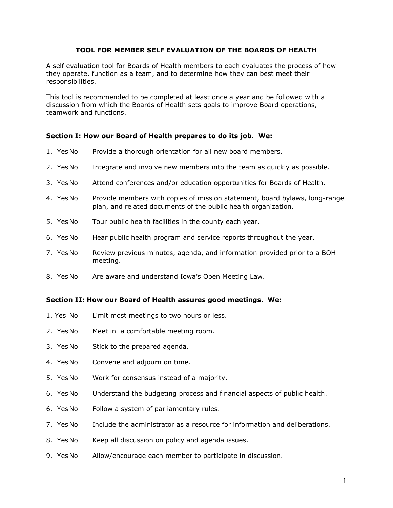# **TOOL FOR MEMBER SELF EVALUATION OF THE BOARDS OF HEALTH**

A self evaluation tool for Boards of Health members to each evaluates the process of how they operate, function as a team, and to determine how they can best meet their responsibilities.

This tool is recommended to be completed at least once a year and be followed with a discussion from which the Boards of Health sets goals to improve Board operations, teamwork and functions.

## **Section I: How our Board of Health prepares to do its job. We:**

- 1. Yes No Provide a thorough orientation for all new board members.
- 2. Yes No Integrate and involve new members into the team as quickly as possible.
- 3. Yes No Attend conferences and/or education opportunities for Boards of Health.
- 4. Yes No Provide members with copies of mission statement, board bylaws, long-range plan, and related documents of the public health organization.
- 5. Yes No Tour public health facilities in the county each year.
- 6. Yes No Hear public health program and service reports throughout the year.
- 7. Yes No Review previous minutes, agenda, and information provided prior to a BOH meeting.
- 8. Yes No Are aware and understand Iowa's Open Meeting Law.

## **Section II: How our Board of Health assures good meetings. We:**

- 1. Yes No Limit most meetings to two hours or less.
- 2. Yes No Meet in a comfortable meeting room.
- 3. Yes No Stick to the prepared agenda.
- 4. Yes No Convene and adjourn on time.
- 5. Yes No Work for consensus instead of a majority.
- 6. Yes No Understand the budgeting process and financial aspects of public health.
- 6. Yes No Follow a system of parliamentary rules.
- 7. Yes No Include the administrator as a resource for information and deliberations.
- 8. Yes No Keep all discussion on policy and agenda issues.
- 9. Yes No Allow/encourage each member to participate in discussion.